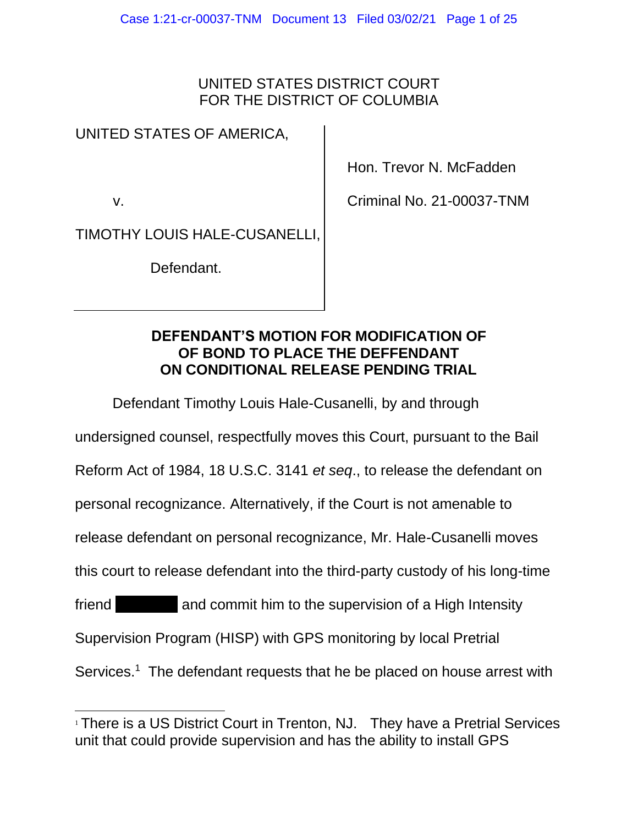### UNITED STATES DISTRICT COURT FOR THE DISTRICT OF COLUMBIA

### UNITED STATES OF AMERICA,

v.

Hon. Trevor N. McFadden

Criminal No. 21-00037-TNM

TIMOTHY LOUIS HALE-CUSANELLI,

Defendant.

#### **DEFENDANT'S MOTION FOR MODIFICATION OF OF BOND TO PLACE THE DEFFENDANT ON CONDITIONAL RELEASE PENDING TRIAL**

Defendant Timothy Louis Hale-Cusanelli, by and through

undersigned counsel, respectfully moves this Court, pursuant to the Bail

Reform Act of 1984, 18 U.S.C. 3141 *et seq*., to release the defendant on

personal recognizance. Alternatively, if the Court is not amenable to

release defendant on personal recognizance, Mr. Hale-Cusanelli moves

this court to release defendant into the third-party custody of his long-time

friend and commit him to the supervision of a High Intensity

Supervision Program (HISP) with GPS monitoring by local Pretrial

Services.<sup>1</sup> The defendant requests that he be placed on house arrest with

<sup>&</sup>lt;sup>1</sup> There is a US District Court in Trenton, NJ. They have a Pretrial Services unit that could provide supervision and has the ability to install GPS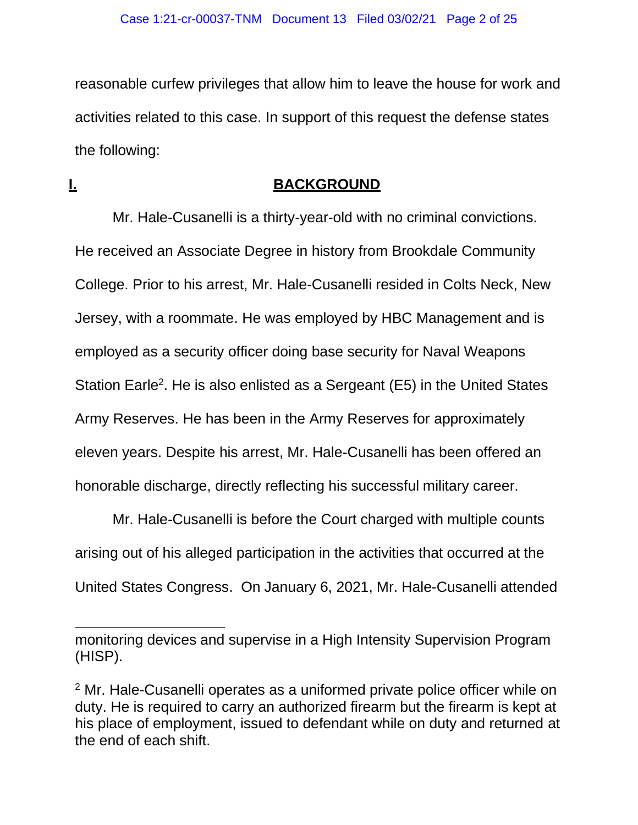reasonable curfew privileges that allow him to leave the house for work and activities related to this case. In support of this request the defense states the following:

#### **I. BACKGROUND**

Mr. Hale-Cusanelli is a thirty-year-old with no criminal convictions. He received an Associate Degree in history from Brookdale Community College. Prior to his arrest, Mr. Hale-Cusanelli resided in Colts Neck, New Jersey, with a roommate. He was employed by HBC Management and is employed as a security officer doing base security for Naval Weapons Station Earle<sup>2</sup>. He is also enlisted as a Sergeant (E5) in the United States Army Reserves. He has been in the Army Reserves for approximately eleven years. Despite his arrest, Mr. Hale-Cusanelli has been offered an honorable discharge, directly reflecting his successful military career.

Mr. Hale-Cusanelli is before the Court charged with multiple counts arising out of his alleged participation in the activities that occurred at the United States Congress. On January 6, 2021, Mr. Hale-Cusanelli attended

monitoring devices and supervise in a High Intensity Supervision Program (HISP).

<sup>2</sup> Mr. Hale-Cusanelli operates as a uniformed private police officer while on duty. He is required to carry an authorized firearm but the firearm is kept at his place of employment, issued to defendant while on duty and returned at the end of each shift.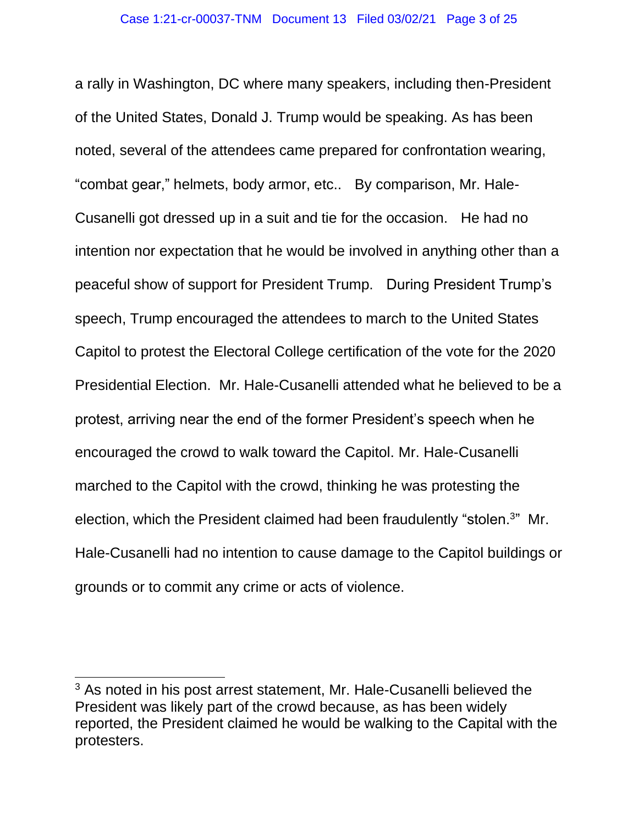a rally in Washington, DC where many speakers, including then-President of the United States, Donald J. Trump would be speaking. As has been noted, several of the attendees came prepared for confrontation wearing, "combat gear," helmets, body armor, etc.. By comparison, Mr. Hale-Cusanelli got dressed up in a suit and tie for the occasion. He had no intention nor expectation that he would be involved in anything other than a peaceful show of support for President Trump. During President Trump's speech, Trump encouraged the attendees to march to the United States Capitol to protest the Electoral College certification of the vote for the 2020 Presidential Election. Mr. Hale-Cusanelli attended what he believed to be a protest, arriving near the end of the former President's speech when he encouraged the crowd to walk toward the Capitol. Mr. Hale-Cusanelli marched to the Capitol with the crowd, thinking he was protesting the election, which the President claimed had been fraudulently "stolen.<sup>3</sup>" Mr. Hale-Cusanelli had no intention to cause damage to the Capitol buildings or grounds or to commit any crime or acts of violence.

<sup>&</sup>lt;sup>3</sup> As noted in his post arrest statement, Mr. Hale-Cusanelli believed the President was likely part of the crowd because, as has been widely reported, the President claimed he would be walking to the Capital with the protesters.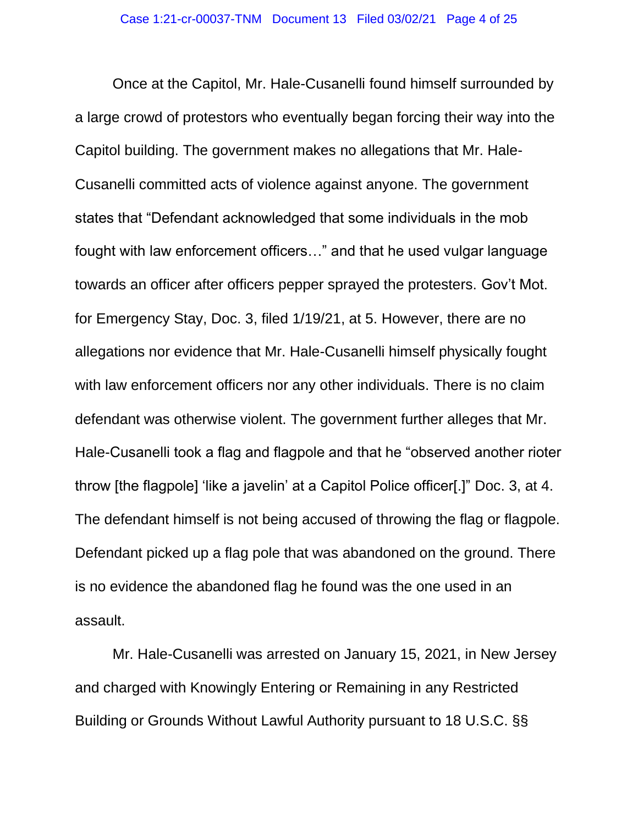Once at the Capitol, Mr. Hale-Cusanelli found himself surrounded by a large crowd of protestors who eventually began forcing their way into the Capitol building. The government makes no allegations that Mr. Hale-Cusanelli committed acts of violence against anyone. The government states that "Defendant acknowledged that some individuals in the mob fought with law enforcement officers…" and that he used vulgar language towards an officer after officers pepper sprayed the protesters. Gov't Mot. for Emergency Stay, Doc. 3, filed 1/19/21, at 5. However, there are no allegations nor evidence that Mr. Hale-Cusanelli himself physically fought with law enforcement officers nor any other individuals. There is no claim defendant was otherwise violent. The government further alleges that Mr. Hale-Cusanelli took a flag and flagpole and that he "observed another rioter throw [the flagpole] 'like a javelin' at a Capitol Police officer[.]" Doc. 3, at 4. The defendant himself is not being accused of throwing the flag or flagpole. Defendant picked up a flag pole that was abandoned on the ground. There is no evidence the abandoned flag he found was the one used in an assault.

Mr. Hale-Cusanelli was arrested on January 15, 2021, in New Jersey and charged with Knowingly Entering or Remaining in any Restricted Building or Grounds Without Lawful Authority pursuant to 18 U.S.C. §§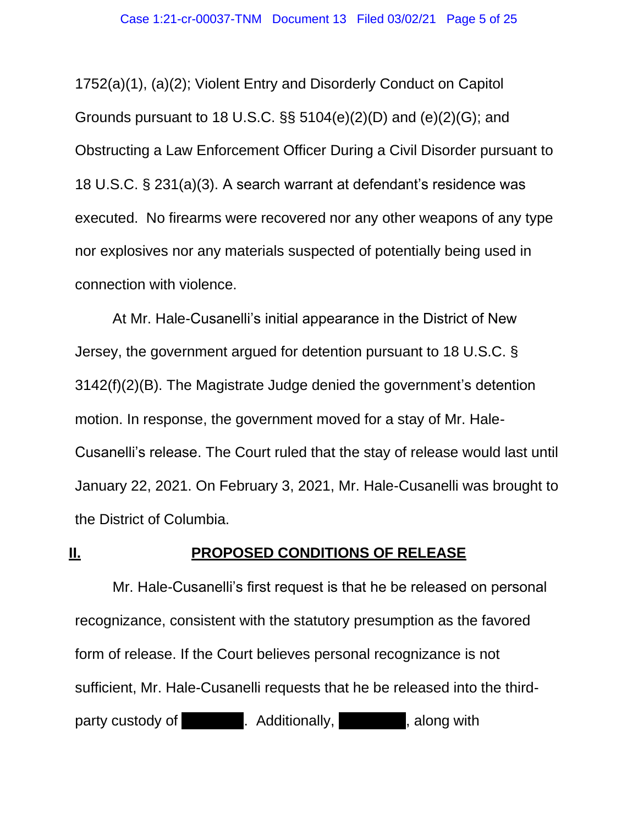1752(a)(1), (a)(2); Violent Entry and Disorderly Conduct on Capitol Grounds pursuant to 18 U.S.C. §§ 5104(e)(2)(D) and (e)(2)(G); and Obstructing a Law Enforcement Officer During a Civil Disorder pursuant to 18 U.S.C. § 231(a)(3). A search warrant at defendant's residence was executed. No firearms were recovered nor any other weapons of any type nor explosives nor any materials suspected of potentially being used in connection with violence.

At Mr. Hale-Cusanelli's initial appearance in the District of New Jersey, the government argued for detention pursuant to 18 U.S.C. § 3142(f)(2)(B). The Magistrate Judge denied the government's detention motion. In response, the government moved for a stay of Mr. Hale-Cusanelli's release. The Court ruled that the stay of release would last until January 22, 2021. On February 3, 2021, Mr. Hale-Cusanelli was brought to the District of Columbia.

#### **II. PROPOSED CONDITIONS OF RELEASE**

Mr. Hale-Cusanelli's first request is that he be released on personal recognizance, consistent with the statutory presumption as the favored form of release. If the Court believes personal recognizance is not sufficient, Mr. Hale-Cusanelli requests that he be released into the thirdparty custody of T. Additionally, A. Additionally, Along with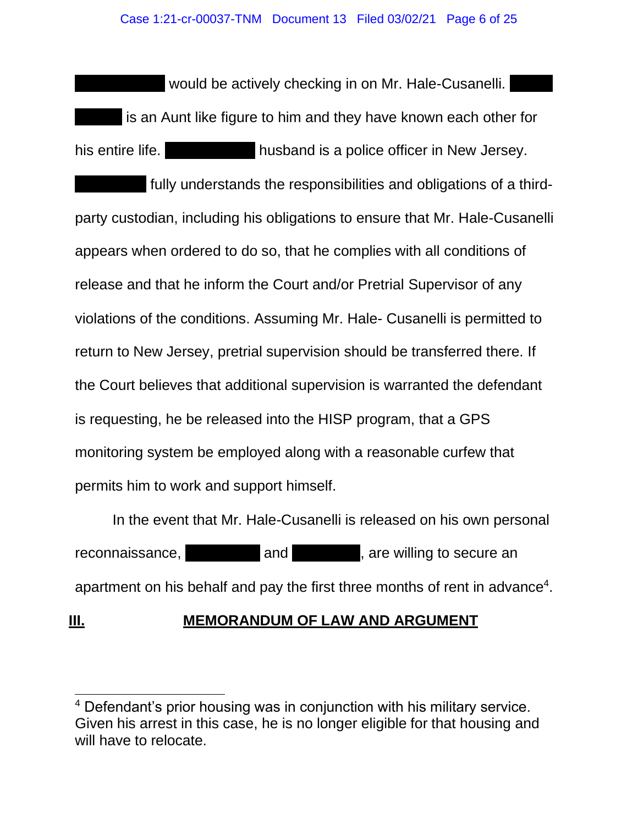would be actively checking in on Mr. Hale-Cusanelli. is an Aunt like figure to him and they have known each other for his entire life. This entire life. A large husband is a police officer in New Jersey. fully understands the responsibilities and obligations of a thirdparty custodian, including his obligations to ensure that Mr. Hale-Cusanelli appears when ordered to do so, that he complies with all conditions of release and that he inform the Court and/or Pretrial Supervisor of any violations of the conditions. Assuming Mr. Hale- Cusanelli is permitted to return to New Jersey, pretrial supervision should be transferred there. If the Court believes that additional supervision is warranted the defendant is requesting, he be released into the HISP program, that a GPS monitoring system be employed along with a reasonable curfew that permits him to work and support himself.

In the event that Mr. Hale-Cusanelli is released on his own personal reconnaissance, Ms. H . and Mr. H . are willing to secure an apartment on his behalf and pay the first three months of rent in advance<sup>4</sup>.

# **III. MEMORANDUM OF LAW AND ARGUMENT**

<sup>&</sup>lt;sup>4</sup> Defendant's prior housing was in conjunction with his military service. Given his arrest in this case, he is no longer eligible for that housing and will have to relocate.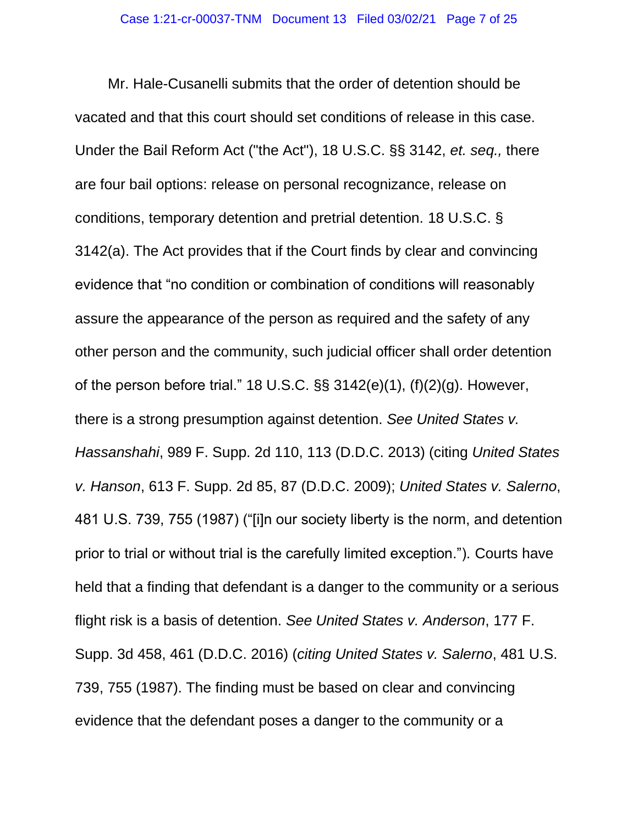Mr. Hale-Cusanelli submits that the order of detention should be vacated and that this court should set conditions of release in this case. Under the Bail Reform Act ("the Act"), 18 U.S.C. §§ 3142, *et. seq.,* there are four bail options: release on personal recognizance, release on conditions, temporary detention and pretrial detention. 18 U.S.C. § 3142(a). The Act provides that if the Court finds by clear and convincing evidence that "no condition or combination of conditions will reasonably assure the appearance of the person as required and the safety of any other person and the community, such judicial officer shall order detention of the person before trial." 18 U.S.C. §§ 3142(e)(1), (f)(2)(g). However, there is a strong presumption against detention. *See United States v. Hassanshahi*, 989 F. Supp. 2d 110, 113 (D.D.C. 2013) (citing *United States v. Hanson*, 613 F. Supp. 2d 85, 87 (D.D.C. 2009); *United States v. Salerno*, 481 U.S. 739, 755 (1987) ("[i]n our society liberty is the norm, and detention prior to trial or without trial is the carefully limited exception."). Courts have held that a finding that defendant is a danger to the community or a serious flight risk is a basis of detention. *See United States v. Anderson*, 177 F. Supp. 3d 458, 461 (D.D.C. 2016) (*citing United States v. Salerno*, 481 U.S. 739, 755 (1987). The finding must be based on clear and convincing evidence that the defendant poses a danger to the community or a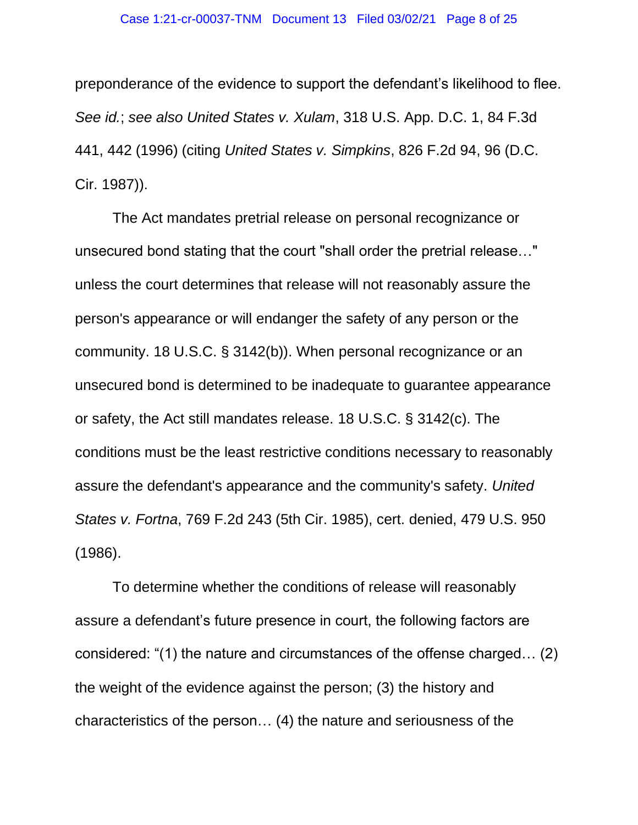preponderance of the evidence to support the defendant's likelihood to flee. *See id.*; *see also United States v. Xulam*, 318 U.S. App. D.C. 1, 84 F.3d 441, 442 (1996) (citing *United States v. Simpkins*, 826 F.2d 94, 96 (D.C. Cir. 1987)).

The Act mandates pretrial release on personal recognizance or unsecured bond stating that the court "shall order the pretrial release…" unless the court determines that release will not reasonably assure the person's appearance or will endanger the safety of any person or the community. 18 U.S.C. § 3142(b)). When personal recognizance or an unsecured bond is determined to be inadequate to guarantee appearance or safety, the Act still mandates release. 18 U.S.C. § 3142(c). The conditions must be the least restrictive conditions necessary to reasonably assure the defendant's appearance and the community's safety. *United States v. Fortna*, 769 F.2d 243 (5th Cir. 1985), cert. denied, 479 U.S. 950 (1986).

To determine whether the conditions of release will reasonably assure a defendant's future presence in court, the following factors are considered: "(1) the nature and circumstances of the offense charged… (2) the weight of the evidence against the person; (3) the history and characteristics of the person… (4) the nature and seriousness of the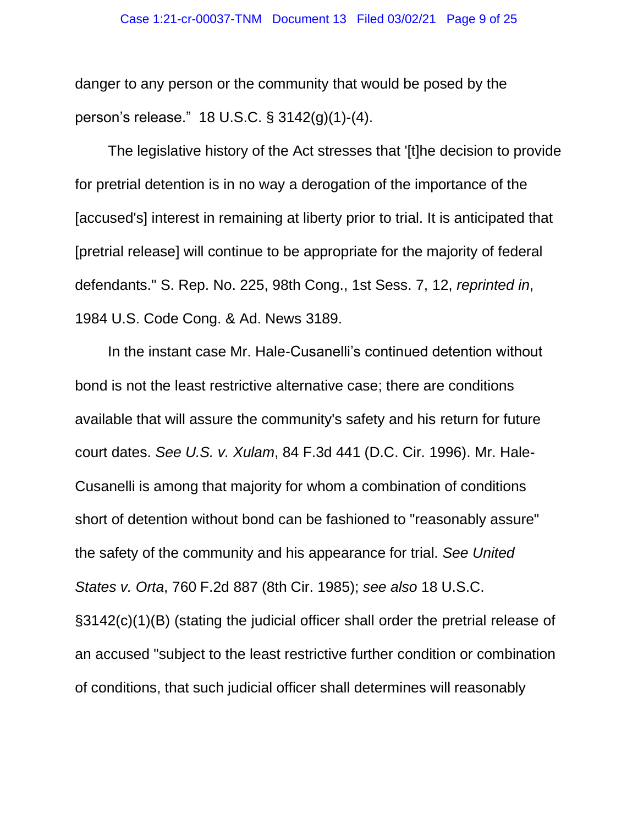danger to any person or the community that would be posed by the person's release." 18 U.S.C. § 3142(g)(1)-(4).

The legislative history of the Act stresses that '[t]he decision to provide for pretrial detention is in no way a derogation of the importance of the [accused's] interest in remaining at liberty prior to trial. It is anticipated that [pretrial release] will continue to be appropriate for the majority of federal defendants." S. Rep. No. 225, 98th Cong., 1st Sess. 7, 12, *reprinted in*, 1984 U.S. Code Cong. & Ad. News 3189.

In the instant case Mr. Hale-Cusanelli's continued detention without bond is not the least restrictive alternative case; there are conditions available that will assure the community's safety and his return for future court dates. *See U.S. v. Xulam*, 84 F.3d 441 (D.C. Cir. 1996). Mr. Hale-Cusanelli is among that majority for whom a combination of conditions short of detention without bond can be fashioned to "reasonably assure" the safety of the community and his appearance for trial. *See United States v. Orta*, 760 F.2d 887 (8th Cir. 1985); *see also* 18 U.S.C. §3142(c)(1)(B) (stating the judicial officer shall order the pretrial release of an accused "subject to the least restrictive further condition or combination of conditions, that such judicial officer shall determines will reasonably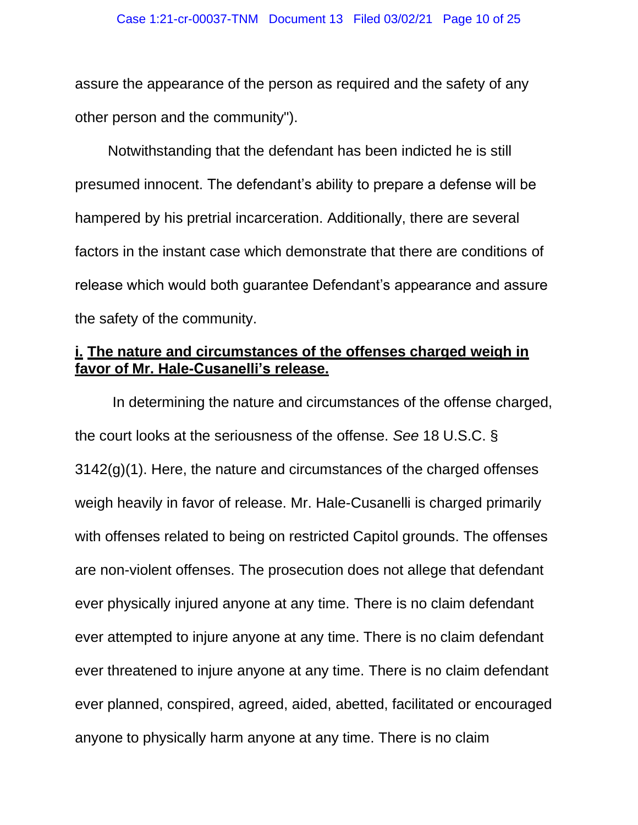assure the appearance of the person as required and the safety of any other person and the community").

Notwithstanding that the defendant has been indicted he is still presumed innocent. The defendant's ability to prepare a defense will be hampered by his pretrial incarceration. Additionally, there are several factors in the instant case which demonstrate that there are conditions of release which would both guarantee Defendant's appearance and assure the safety of the community.

#### **i. The nature and circumstances of the offenses charged weigh in favor of Mr. Hale-Cusanelli's release.**

In determining the nature and circumstances of the offense charged, the court looks at the seriousness of the offense. *See* 18 U.S.C. § 3142(g)(1). Here, the nature and circumstances of the charged offenses weigh heavily in favor of release. Mr. Hale-Cusanelli is charged primarily with offenses related to being on restricted Capitol grounds. The offenses are non-violent offenses. The prosecution does not allege that defendant ever physically injured anyone at any time. There is no claim defendant ever attempted to injure anyone at any time. There is no claim defendant ever threatened to injure anyone at any time. There is no claim defendant ever planned, conspired, agreed, aided, abetted, facilitated or encouraged anyone to physically harm anyone at any time. There is no claim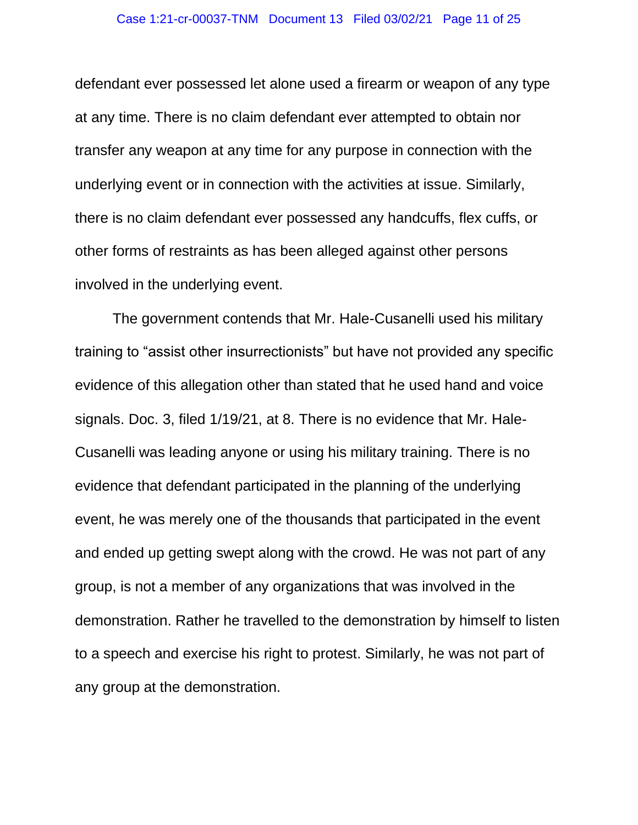defendant ever possessed let alone used a firearm or weapon of any type at any time. There is no claim defendant ever attempted to obtain nor transfer any weapon at any time for any purpose in connection with the underlying event or in connection with the activities at issue. Similarly, there is no claim defendant ever possessed any handcuffs, flex cuffs, or other forms of restraints as has been alleged against other persons involved in the underlying event.

The government contends that Mr. Hale-Cusanelli used his military training to "assist other insurrectionists" but have not provided any specific evidence of this allegation other than stated that he used hand and voice signals. Doc. 3, filed 1/19/21, at 8. There is no evidence that Mr. Hale-Cusanelli was leading anyone or using his military training. There is no evidence that defendant participated in the planning of the underlying event, he was merely one of the thousands that participated in the event and ended up getting swept along with the crowd. He was not part of any group, is not a member of any organizations that was involved in the demonstration. Rather he travelled to the demonstration by himself to listen to a speech and exercise his right to protest. Similarly, he was not part of any group at the demonstration.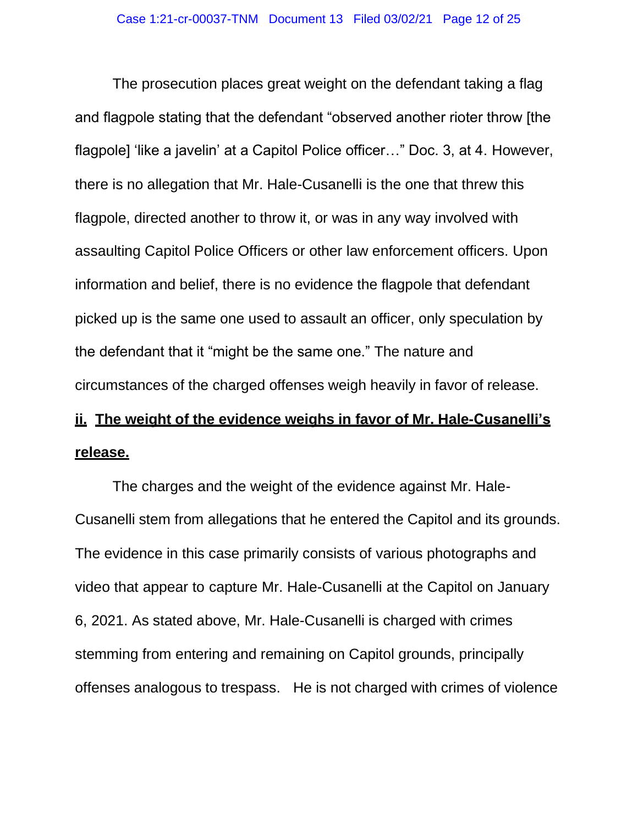The prosecution places great weight on the defendant taking a flag and flagpole stating that the defendant "observed another rioter throw [the flagpole] 'like a javelin' at a Capitol Police officer..." Doc. 3, at 4. However, there is no allegation that Mr. Hale-Cusanelli is the one that threw this flagpole, directed another to throw it, or was in any way involved with assaulting Capitol Police Officers or other law enforcement officers. Upon information and belief, there is no evidence the flagpole that defendant picked up is the same one used to assault an officer, only speculation by the defendant that it "might be the same one." The nature and circumstances of the charged offenses weigh heavily in favor of release.

# **ii. The weight of the evidence weighs in favor of Mr. Hale-Cusanelli's release.**

The charges and the weight of the evidence against Mr. Hale-Cusanelli stem from allegations that he entered the Capitol and its grounds. The evidence in this case primarily consists of various photographs and video that appear to capture Mr. Hale-Cusanelli at the Capitol on January 6, 2021. As stated above, Mr. Hale-Cusanelli is charged with crimes stemming from entering and remaining on Capitol grounds, principally offenses analogous to trespass. He is not charged with crimes of violence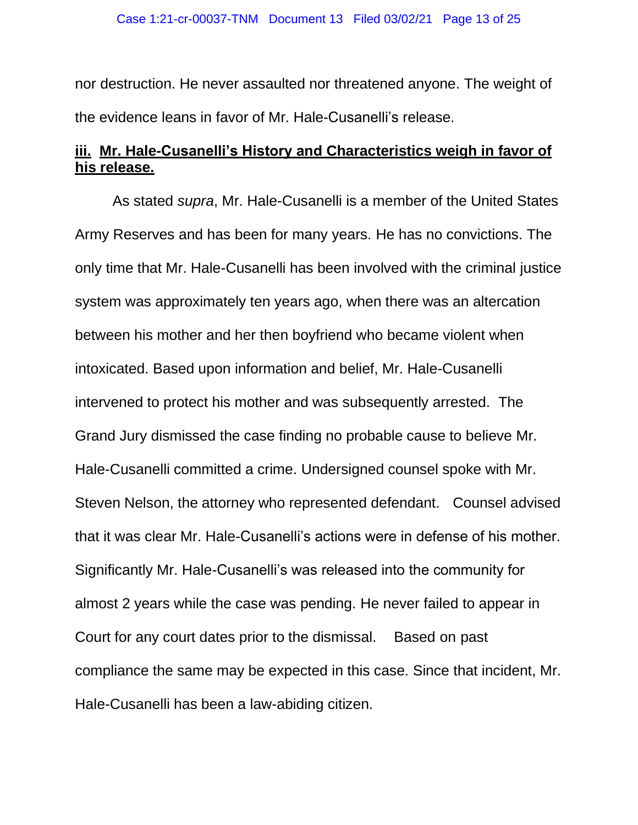nor destruction. He never assaulted nor threatened anyone. The weight of the evidence leans in favor of Mr. Hale-Cusanelli's release.

### **iii. Mr. Hale-Cusanelli's History and Characteristics weigh in favor of his release.**

As stated *supra*, Mr. Hale-Cusanelli is a member of the United States Army Reserves and has been for many years. He has no convictions. The only time that Mr. Hale-Cusanelli has been involved with the criminal justice system was approximately ten years ago, when there was an altercation between his mother and her then boyfriend who became violent when intoxicated. Based upon information and belief, Mr. Hale-Cusanelli intervened to protect his mother and was subsequently arrested. The Grand Jury dismissed the case finding no probable cause to believe Mr. Hale-Cusanelli committed a crime. Undersigned counsel spoke with Mr. Steven Nelson, the attorney who represented defendant. Counsel advised that it was clear Mr. Hale-Cusanelli's actions were in defense of his mother. Significantly Mr. Hale-Cusanelli's was released into the community for almost 2 years while the case was pending. He never failed to appear in Court for any court dates prior to the dismissal. Based on past compliance the same may be expected in this case. Since that incident, Mr. Hale-Cusanelli has been a law-abiding citizen.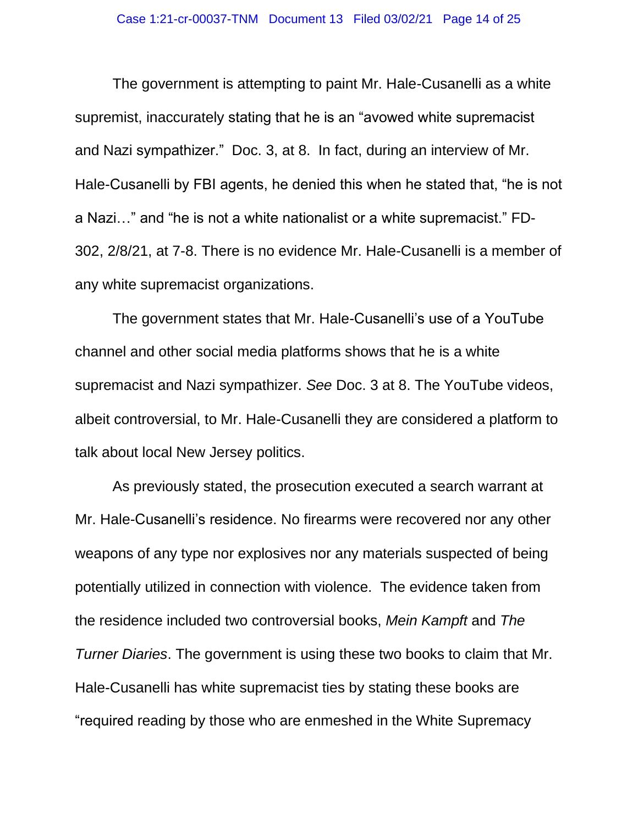The government is attempting to paint Mr. Hale-Cusanelli as a white supremist, inaccurately stating that he is an "avowed white supremacist and Nazi sympathizer." Doc. 3, at 8. In fact, during an interview of Mr. Hale-Cusanelli by FBI agents, he denied this when he stated that, "he is not a Nazi…" and "he is not a white nationalist or a white supremacist." FD-302, 2/8/21, at 7-8. There is no evidence Mr. Hale-Cusanelli is a member of any white supremacist organizations.

The government states that Mr. Hale-Cusanelli's use of a YouTube channel and other social media platforms shows that he is a white supremacist and Nazi sympathizer. *See* Doc. 3 at 8. The YouTube videos, albeit controversial, to Mr. Hale-Cusanelli they are considered a platform to talk about local New Jersey politics.

As previously stated, the prosecution executed a search warrant at Mr. Hale-Cusanelli's residence. No firearms were recovered nor any other weapons of any type nor explosives nor any materials suspected of being potentially utilized in connection with violence. The evidence taken from the residence included two controversial books, *Mein Kampft* and *The Turner Diaries*. The government is using these two books to claim that Mr. Hale-Cusanelli has white supremacist ties by stating these books are "required reading by those who are enmeshed in the White Supremacy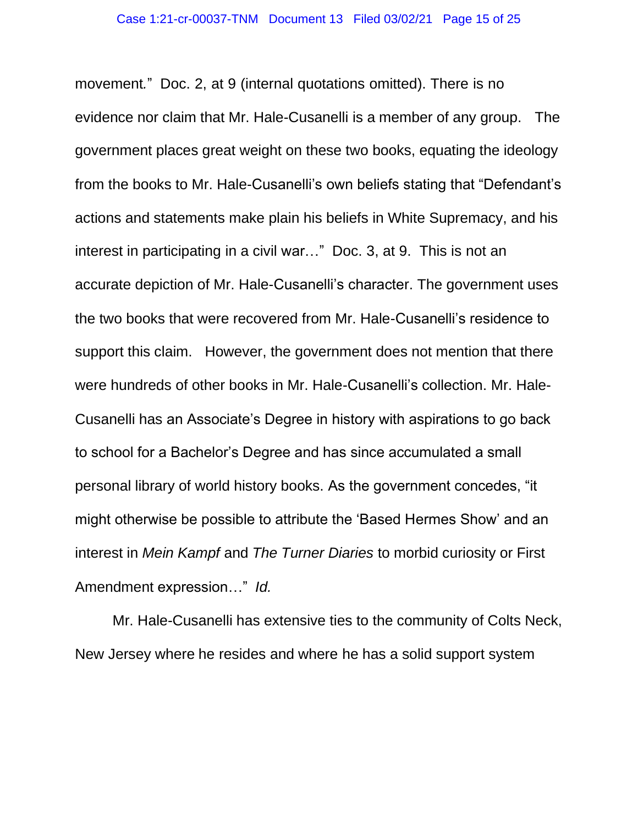movement*.*" Doc. 2, at 9 (internal quotations omitted). There is no evidence nor claim that Mr. Hale-Cusanelli is a member of any group. The government places great weight on these two books, equating the ideology from the books to Mr. Hale-Cusanelli's own beliefs stating that "Defendant's actions and statements make plain his beliefs in White Supremacy, and his interest in participating in a civil war…" Doc. 3, at 9. This is not an accurate depiction of Mr. Hale-Cusanelli's character. The government uses the two books that were recovered from Mr. Hale-Cusanelli's residence to support this claim. However, the government does not mention that there were hundreds of other books in Mr. Hale-Cusanelli's collection. Mr. Hale-Cusanelli has an Associate's Degree in history with aspirations to go back to school for a Bachelor's Degree and has since accumulated a small personal library of world history books. As the government concedes, "it might otherwise be possible to attribute the 'Based Hermes Show' and an interest in *Mein Kampf* and *The Turner Diaries* to morbid curiosity or First Amendment expression…" *Id.*

Mr. Hale-Cusanelli has extensive ties to the community of Colts Neck, New Jersey where he resides and where he has a solid support system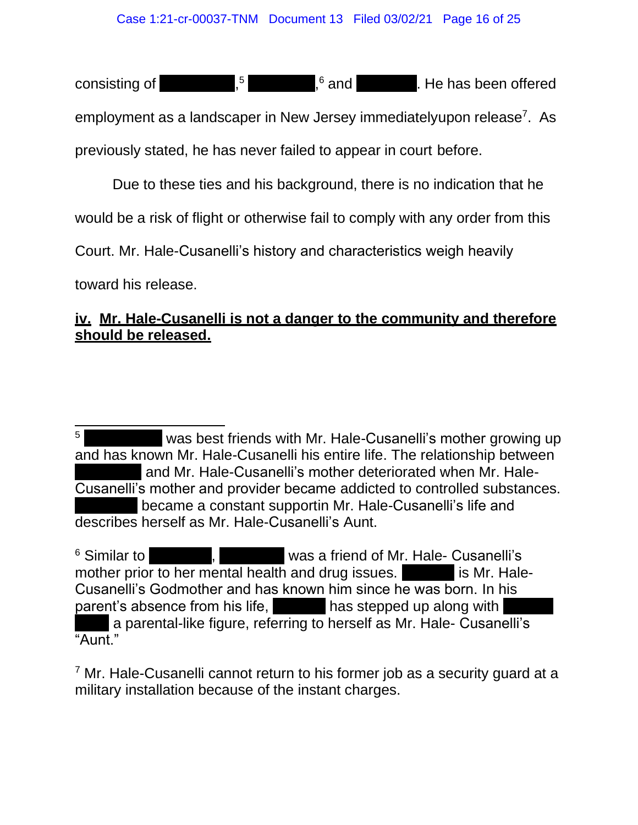consisting of  $\begin{bmatrix} .5 \\ . \end{bmatrix}$  $5 \qquad ,^6$  and  $\qquad .$  He has been offered

employment as a landscaper in New Jersey immediatelyupon release<sup>7</sup>. As previously stated, he has never failed to appear in court before.

Due to these ties and his background, there is no indication that he

would be a risk of flight or otherwise fail to comply with any order from this

Court. Mr. Hale-Cusanelli's history and characteristics weigh heavily

toward his release.

## **iv. Mr. Hale-Cusanelli is not a danger to the community and therefore should be released.**

<sup>6</sup> Similar to **Ms. A. S. A. Was a friend of Mr. Hale- Cusanelli's** mother prior to her mental health and drug issues. The same is Mr. Hale-Cusanelli's Godmother and has known him since he was born. In his parent's absence from his life,  $\Box$  has stepped up along with a parental-like figure, referring to herself as Mr. Hale- Cusanelli's "Aunt."

 $<sup>7</sup>$  Mr. Hale-Cusanelli cannot return to his former job as a security guard at a</sup> military installation because of the instant charges.

<sup>&</sup>lt;sup>5</sup> Was best friends with Mr. Hale-Cusanelli's mother growing up and has known Mr. Hale-Cusanelli his entire life. The relationship between and Mr. Hale-Cusanelli's mother deteriorated when Mr. Hale-Cusanelli's mother and provider became addicted to controlled substances. became a constant supportin Mr. Hale-Cusanelli's life and describes herself as Mr. Hale-Cusanelli's Aunt.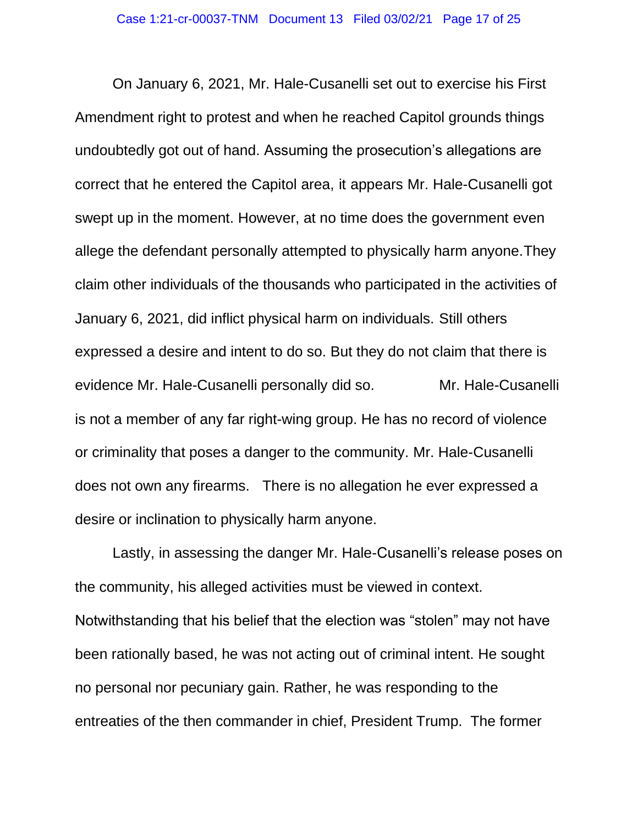On January 6, 2021, Mr. Hale-Cusanelli set out to exercise his First Amendment right to protest and when he reached Capitol grounds things undoubtedly got out of hand. Assuming the prosecution's allegations are correct that he entered the Capitol area, it appears Mr. Hale-Cusanelli got swept up in the moment. However, at no time does the government even allege the defendant personally attempted to physically harm anyone.They claim other individuals of the thousands who participated in the activities of January 6, 2021, did inflict physical harm on individuals. Still others expressed a desire and intent to do so. But they do not claim that there is evidence Mr. Hale-Cusanelli personally did so. Mr. Hale-Cusanelli is not a member of any far right-wing group. He has no record of violence or criminality that poses a danger to the community. Mr. Hale-Cusanelli does not own any firearms. There is no allegation he ever expressed a desire or inclination to physically harm anyone.

Lastly, in assessing the danger Mr. Hale-Cusanelli's release poses on the community, his alleged activities must be viewed in context. Notwithstanding that his belief that the election was "stolen" may not have been rationally based, he was not acting out of criminal intent. He sought no personal nor pecuniary gain. Rather, he was responding to the entreaties of the then commander in chief, President Trump. The former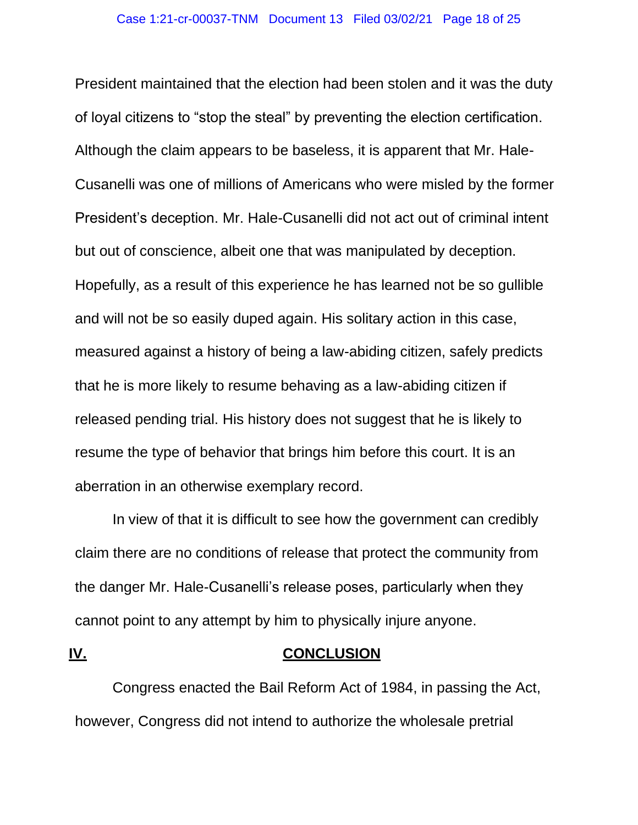President maintained that the election had been stolen and it was the duty of loyal citizens to "stop the steal" by preventing the election certification. Although the claim appears to be baseless, it is apparent that Mr. Hale-Cusanelli was one of millions of Americans who were misled by the former President's deception. Mr. Hale-Cusanelli did not act out of criminal intent but out of conscience, albeit one that was manipulated by deception. Hopefully, as a result of this experience he has learned not be so gullible and will not be so easily duped again. His solitary action in this case, measured against a history of being a law-abiding citizen, safely predicts that he is more likely to resume behaving as a law-abiding citizen if released pending trial. His history does not suggest that he is likely to resume the type of behavior that brings him before this court. It is an aberration in an otherwise exemplary record.

In view of that it is difficult to see how the government can credibly claim there are no conditions of release that protect the community from the danger Mr. Hale-Cusanelli's release poses, particularly when they cannot point to any attempt by him to physically injure anyone.

#### **IV. CONCLUSION**

Congress enacted the Bail Reform Act of 1984, in passing the Act, however, Congress did not intend to authorize the wholesale pretrial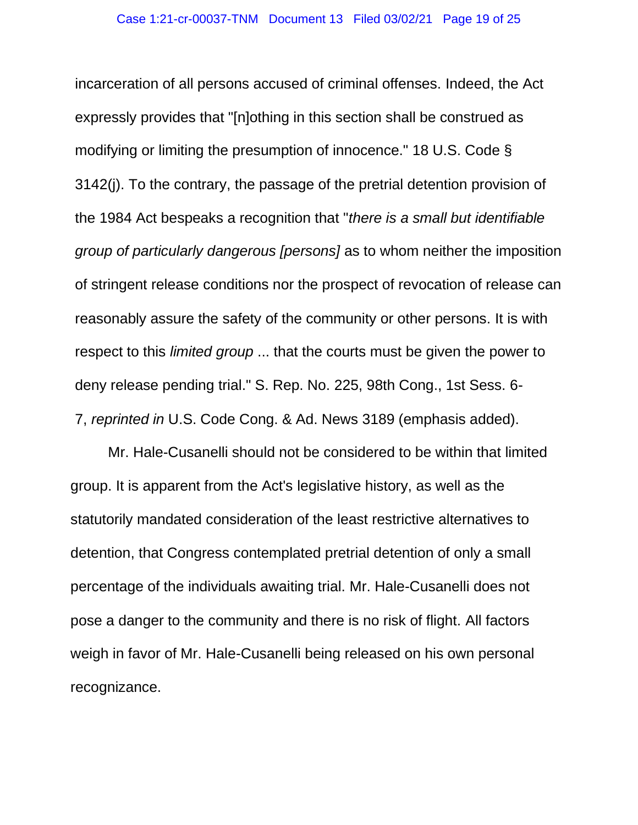incarceration of all persons accused of criminal offenses. Indeed, the Act expressly provides that "[n]othing in this section shall be construed as modifying or limiting the presumption of innocence." 18 U.S. Code § 3142(j). To the contrary, the passage of the pretrial detention provision of the 1984 Act bespeaks a recognition that "*there is a small but identifiable group of particularly dangerous [persons]* as to whom neither the imposition of stringent release conditions nor the prospect of revocation of release can reasonably assure the safety of the community or other persons. It is with respect to this *limited group* ... that the courts must be given the power to deny release pending trial." S. Rep. No. 225, 98th Cong., 1st Sess. 6- 7, *reprinted in* U.S. Code Cong. & Ad. News 3189 (emphasis added).

Mr. Hale-Cusanelli should not be considered to be within that limited group. It is apparent from the Act's legislative history, as well as the statutorily mandated consideration of the least restrictive alternatives to detention, that Congress contemplated pretrial detention of only a small percentage of the individuals awaiting trial. Mr. Hale-Cusanelli does not pose a danger to the community and there is no risk of flight. All factors weigh in favor of Mr. Hale-Cusanelli being released on his own personal recognizance.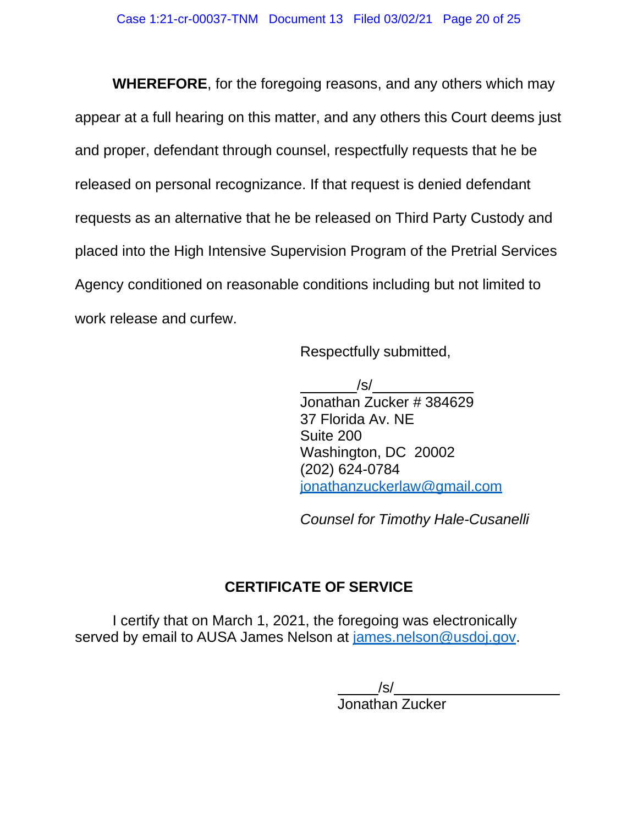**WHEREFORE**, for the foregoing reasons, and any others which may appear at a full hearing on this matter, and any others this Court deems just and proper, defendant through counsel, respectfully requests that he be released on personal recognizance. If that request is denied defendant requests as an alternative that he be released on Third Party Custody and placed into the High Intensive Supervision Program of the Pretrial Services Agency conditioned on reasonable conditions including but not limited to work release and curfew.

Respectfully submitted,

/s/ Jonathan Zucker # 384629 37 Florida Av. NE Suite 200 Washington, DC 20002 (202) 624-0784 jonathanzuckerlaw@gmail.com

*Counsel for Timothy Hale-Cusanelli*

# **CERTIFICATE OF SERVICE**

I certify that on March 1, 2021, the foregoing was electronically served by email to AUSA James Nelson at james.nelson@usdoj.gov.

> /s/ Jonathan Zucker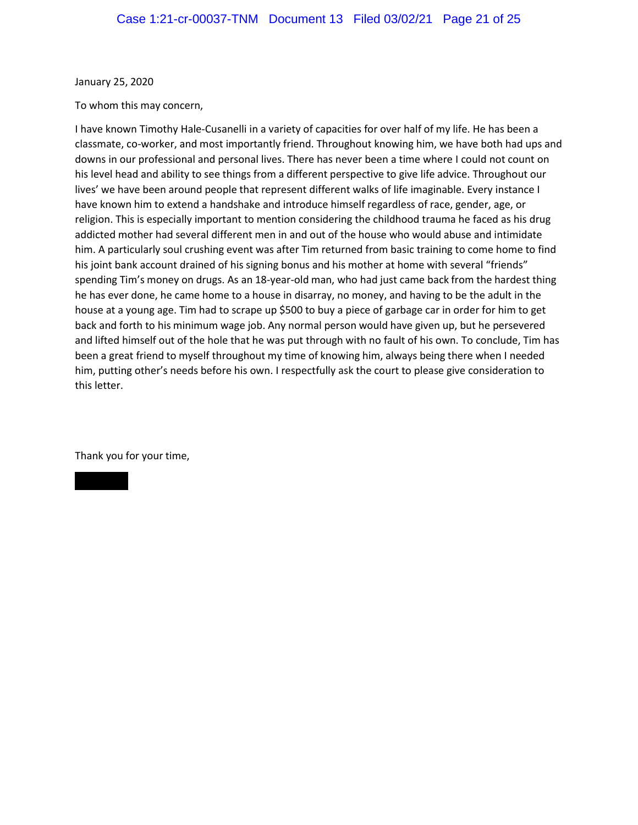January 25, 2020

To whom this may concern,

I have known Timothy Hale-Cusanelli in a variety of capacities for over half of my life. He has been a classmate, co-worker, and most importantly friend. Throughout knowing him, we have both had ups and downs in our professional and personal lives. There has never been a time where I could not count on his level head and ability to see things from a different perspective to give life advice. Throughout our lives' we have been around people that represent different walks of life imaginable. Every instance I have known him to extend a handshake and introduce himself regardless of race, gender, age, or religion. This is especially important to mention considering the childhood trauma he faced as his drug addicted mother had several different men in and out of the house who would abuse and intimidate him. A particularly soul crushing event was after Tim returned from basic training to come home to find his joint bank account drained of his signing bonus and his mother at home with several "friends" spending Tim's money on drugs. As an 18-year-old man, who had just came back from the hardest thing he has ever done, he came home to a house in disarray, no money, and having to be the adult in the house at a young age. Tim had to scrape up \$500 to buy a piece of garbage car in order for him to get back and forth to his minimum wage job. Any normal person would have given up, but he persevered and lifted himself out of the hole that he was put through with no fault of his own. To conclude, Tim has been a great friend to myself throughout my time of knowing him, always being there when I needed him, putting other's needs before his own. I respectfully ask the court to please give consideration to this letter.

Thank you for your time,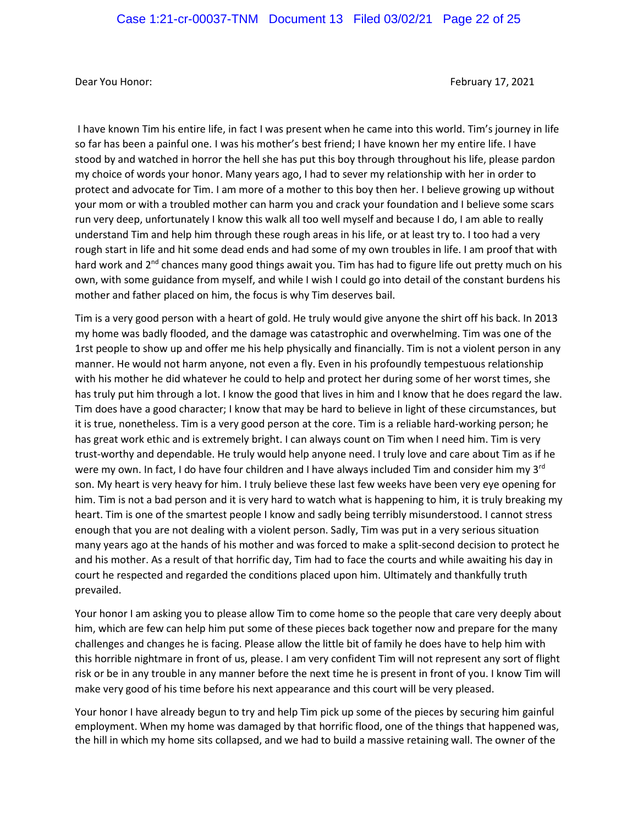Dear You Honor: February 17, 2021

I have known Tim his entire life, in fact I was present when he came into this world. Tim's journey in life so far has been a painful one. I was his mother's best friend; I have known her my entire life. I have stood by and watched in horror the hell she has put this boy through throughout his life, please pardon my choice of words your honor. Many years ago, I had to sever my relationship with her in order to protect and advocate for Tim. I am more of a mother to this boy then her. I believe growing up without your mom or with a troubled mother can harm you and crack your foundation and I believe some scars run very deep, unfortunately I know this walk all too well myself and because I do, I am able to really understand Tim and help him through these rough areas in his life, or at least try to. I too had a very rough start in life and hit some dead ends and had some of my own troubles in life. I am proof that with hard work and 2<sup>nd</sup> chances many good things await you. Tim has had to figure life out pretty much on his own, with some guidance from myself, and while I wish I could go into detail of the constant burdens his mother and father placed on him, the focus is why Tim deserves bail.

Tim is a very good person with a heart of gold. He truly would give anyone the shirt off his back. In 2013 my home was badly flooded, and the damage was catastrophic and overwhelming. Tim was one of the 1rst people to show up and offer me his help physically and financially. Tim is not a violent person in any manner. He would not harm anyone, not even a fly. Even in his profoundly tempestuous relationship with his mother he did whatever he could to help and protect her during some of her worst times, she has truly put him through a lot. I know the good that lives in him and I know that he does regard the law. Tim does have a good character; I know that may be hard to believe in light of these circumstances, but it is true, nonetheless. Tim is a very good person at the core. Tim is a reliable hard-working person; he has great work ethic and is extremely bright. I can always count on Tim when I need him. Tim is very trust-worthy and dependable. He truly would help anyone need. I truly love and care about Tim as if he were my own. In fact, I do have four children and I have always included Tim and consider him my 3<sup>rd</sup> son. My heart is very heavy for him. I truly believe these last few weeks have been very eye opening for him. Tim is not a bad person and it is very hard to watch what is happening to him, it is truly breaking my heart. Tim is one of the smartest people I know and sadly being terribly misunderstood. I cannot stress enough that you are not dealing with a violent person. Sadly, Tim was put in a very serious situation many years ago at the hands of his mother and was forced to make a split-second decision to protect he and his mother. As a result of that horrific day, Tim had to face the courts and while awaiting his day in court he respected and regarded the conditions placed upon him. Ultimately and thankfully truth prevailed.

Your honor I am asking you to please allow Tim to come home so the people that care very deeply about him, which are few can help him put some of these pieces back together now and prepare for the many challenges and changes he is facing. Please allow the little bit of family he does have to help him with this horrible nightmare in front of us, please. I am very confident Tim will not represent any sort of flight risk or be in any trouble in any manner before the next time he is present in front of you. I know Tim will make very good of his time before his next appearance and this court will be very pleased.

Your honor I have already begun to try and help Tim pick up some of the pieces by securing him gainful employment. When my home was damaged by that horrific flood, one of the things that happened was, the hill in which my home sits collapsed, and we had to build a massive retaining wall. The owner of the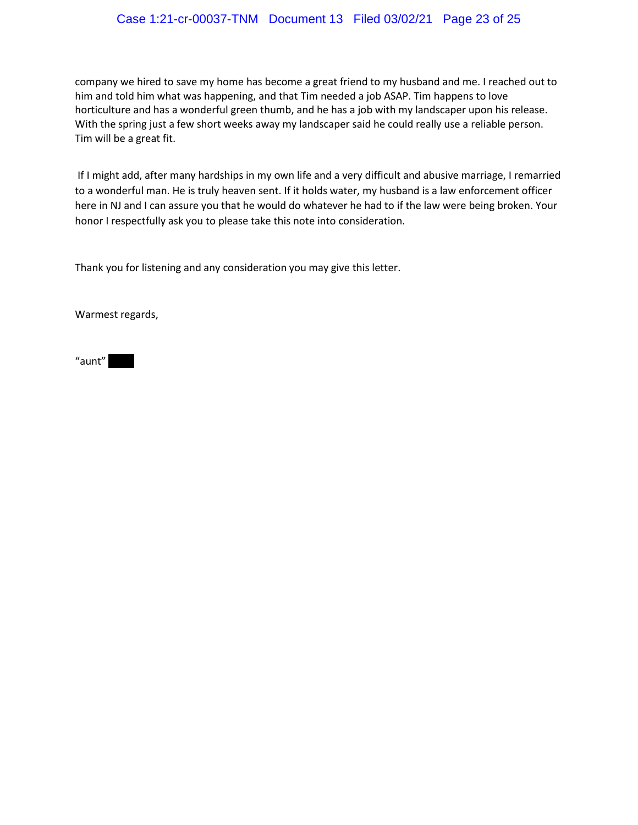#### Case 1:21-cr-00037-TNM Document 13 Filed 03/02/21 Page 23 of 25

company we hired to save my home has become a great friend to my husband and me. I reached out to him and told him what was happening, and that Tim needed a job ASAP. Tim happens to love horticulture and has a wonderful green thumb, and he has a job with my landscaper upon his release. With the spring just a few short weeks away my landscaper said he could really use a reliable person. Tim will be a great fit.

If I might add, after many hardships in my own life and a very difficult and abusive marriage, I remarried to a wonderful man. He is truly heaven sent. If it holds water, my husband is a law enforcement officer here in NJ and I can assure you that he would do whatever he had to if the law were being broken. Your honor I respectfully ask you to please take this note into consideration.

Thank you for listening and any consideration you may give this letter.

Warmest regards,

 $"$ aunt $"$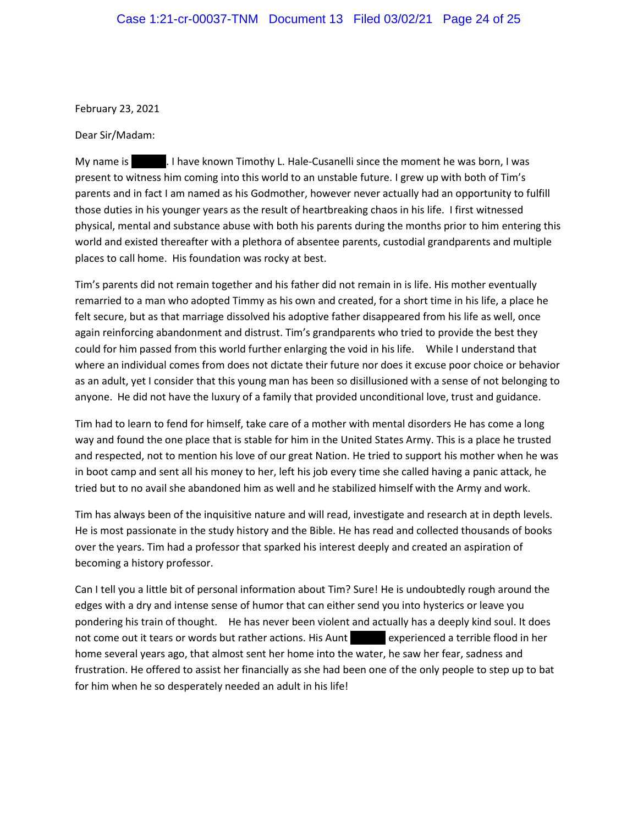February 23, 2021

Dear Sir/Madam:

My name is Thave known Timothy L. Hale-Cusanelli since the moment he was born, I was present to witness him coming into this world to an unstable future. I grew up with both of Tim's parents and in fact I am named as his Godmother, however never actually had an opportunity to fulfill those duties in his younger years as the result of heartbreaking chaos in his life. I first witnessed physical, mental and substance abuse with both his parents during the months prior to him entering this world and existed thereafter with a plethora of absentee parents, custodial grandparents and multiple places to call home. His foundation was rocky at best.

Tim's parents did not remain together and his father did not remain in is life. His mother eventually remarried to a man who adopted Timmy as his own and created, for a short time in his life, a place he felt secure, but as that marriage dissolved his adoptive father disappeared from his life as well, once again reinforcing abandonment and distrust. Tim's grandparents who tried to provide the best they could for him passed from this world further enlarging the void in his life. While I understand that where an individual comes from does not dictate their future nor does it excuse poor choice or behavior as an adult, yet I consider that this young man has been so disillusioned with a sense of not belonging to anyone. He did not have the luxury of a family that provided unconditional love, trust and guidance.

Tim had to learn to fend for himself, take care of a mother with mental disorders He has come a long way and found the one place that is stable for him in the United States Army. This is a place he trusted and respected, not to mention his love of our great Nation. He tried to support his mother when he was in boot camp and sent all his money to her, left his job every time she called having a panic attack, he tried but to no avail she abandoned him as well and he stabilized himself with the Army and work.

Tim has always been of the inquisitive nature and will read, investigate and research at in depth levels. He is most passionate in the study history and the Bible. He has read and collected thousands of books over the years. Tim had a professor that sparked his interest deeply and created an aspiration of becoming a history professor.

Can I tell you a little bit of personal information about Tim? Sure! He is undoubtedly rough around the edges with a dry and intense sense of humor that can either send you into hysterics or leave you pondering his train of thought. He has never been violent and actually has a deeply kind soul. It does not come out it tears or words but rather actions. His Aunt experienced a terrible flood in her home several years ago, that almost sent her home into the water, he saw her fear, sadness and frustration. He offered to assist her financially as she had been one of the only people to step up to bat for him when he so desperately needed an adult in his life!